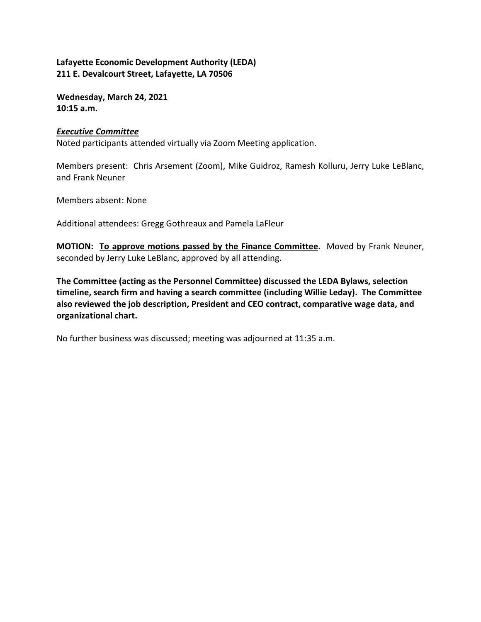**Wednesday, March 24, 2021 10:15 a.m.**

### *Executive Committee*

Noted participants attended virtually via Zoom Meeting application.

Members present: Chris Arsement (Zoom), Mike Guidroz, Ramesh Kolluru, Jerry Luke LeBlanc, and Frank Neuner

Members absent: None

Additional attendees: Gregg Gothreaux and Pamela LaFleur

**MOTION: To approve motions passed by the Finance Committee.** Moved by Frank Neuner, seconded by Jerry Luke LeBlanc, approved by all attending.

**The Committee (acting as the Personnel Committee) discussed the LEDA Bylaws, selection timeline, search firm and having a search committee (including Willie Leday). The Committee also reviewed the job description, President and CEO contract, comparative wage data, and organizational chart.** 

No further business was discussed; meeting was adjourned at 11:35 a.m.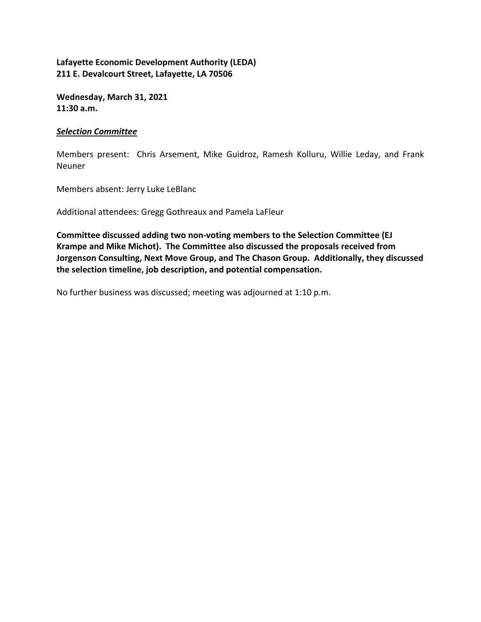**Wednesday, March 31, 2021 11:30 a.m.**

### *Selection Committee*

Members present: Chris Arsement, Mike Guidroz, Ramesh Kolluru, Willie Leday, and Frank Neuner

Members absent: Jerry Luke LeBlanc

Additional attendees: Gregg Gothreaux and Pamela LaFleur

**Committee discussed adding two non‐voting members to the Selection Committee (EJ Krampe and Mike Michot). The Committee also discussed the proposals received from Jorgenson Consulting, Next Move Group, and The Chason Group. Additionally, they discussed the selection timeline, job description, and potential compensation.**

No further business was discussed; meeting was adjourned at 1:10 p.m.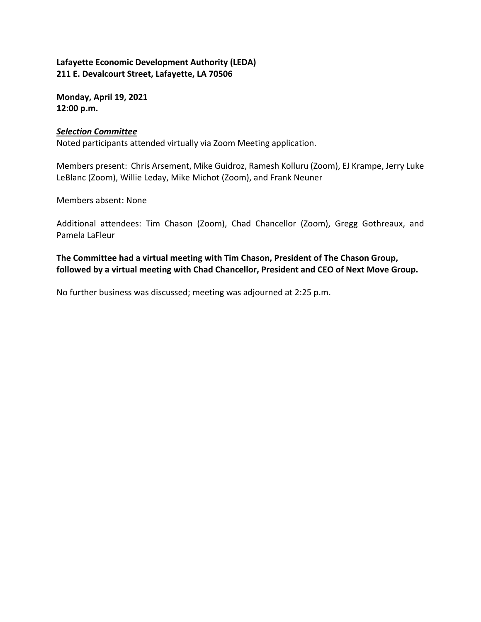**Monday, April 19, 2021 12:00 p.m.**

### *Selection Committee*

Noted participants attended virtually via Zoom Meeting application.

Members present: Chris Arsement, Mike Guidroz, Ramesh Kolluru (Zoom), EJ Krampe, Jerry Luke LeBlanc (Zoom), Willie Leday, Mike Michot (Zoom), and Frank Neuner

Members absent: None

Additional attendees: Tim Chason (Zoom), Chad Chancellor (Zoom), Gregg Gothreaux, and Pamela LaFleur

**The Committee had a virtual meeting with Tim Chason, President of The Chason Group, followed by a virtual meeting with Chad Chancellor, President and CEO of Next Move Group.**

No further business was discussed; meeting was adjourned at 2:25 p.m.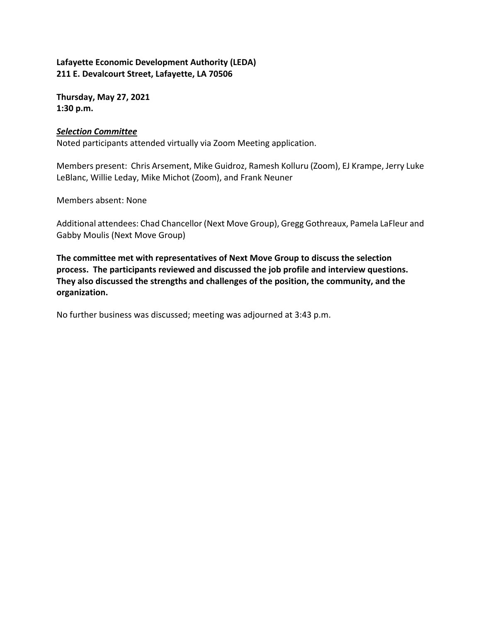**Thursday, May 27, 2021 1:30 p.m.**

### *Selection Committee*

Noted participants attended virtually via Zoom Meeting application.

Members present: Chris Arsement, Mike Guidroz, Ramesh Kolluru (Zoom), EJ Krampe, Jerry Luke LeBlanc, Willie Leday, Mike Michot (Zoom), and Frank Neuner

Members absent: None

Additional attendees: Chad Chancellor (Next Move Group), Gregg Gothreaux, Pamela LaFleur and Gabby Moulis (Next Move Group)

**The committee met with representatives of Next Move Group to discuss the selection process. The participants reviewed and discussed the job profile and interview questions. They also discussed the strengths and challenges of the position, the community, and the organization.**

No further business was discussed; meeting was adjourned at 3:43 p.m.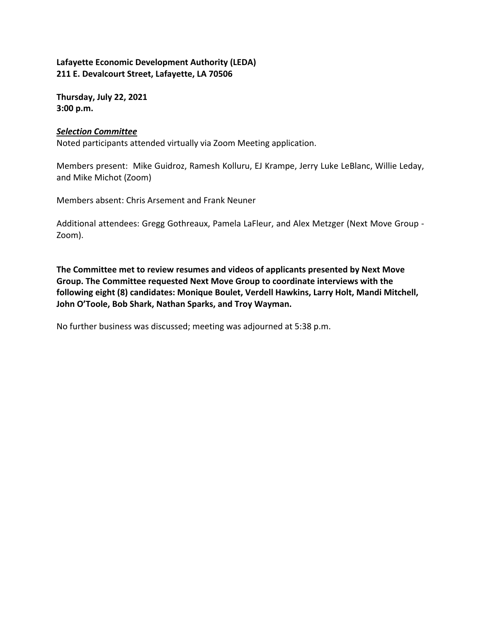**Thursday, July 22, 2021 3:00 p.m.**

### *Selection Committee*

Noted participants attended virtually via Zoom Meeting application.

Members present: Mike Guidroz, Ramesh Kolluru, EJ Krampe, Jerry Luke LeBlanc, Willie Leday, and Mike Michot (Zoom)

Members absent: Chris Arsement and Frank Neuner

Additional attendees: Gregg Gothreaux, Pamela LaFleur, and Alex Metzger (Next Move Group ‐ Zoom).

**The Committee met to review resumes and videos of applicants presented by Next Move Group. The Committee requested Next Move Group to coordinate interviews with the following eight (8) candidates: Monique Boulet, Verdell Hawkins, Larry Holt, Mandi Mitchell, John O'Toole, Bob Shark, Nathan Sparks, and Troy Wayman.** 

No further business was discussed; meeting was adjourned at 5:38 p.m.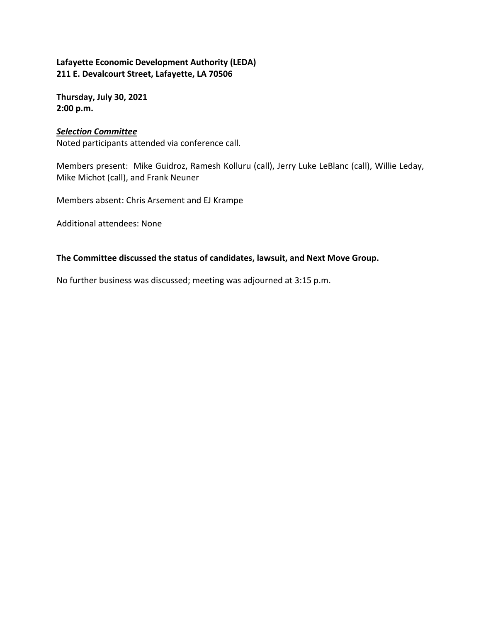**Thursday, July 30, 2021 2:00 p.m.**

#### *Selection Committee*

Noted participants attended via conference call.

Members present: Mike Guidroz, Ramesh Kolluru (call), Jerry Luke LeBlanc (call), Willie Leday, Mike Michot (call), and Frank Neuner

Members absent: Chris Arsement and EJ Krampe

Additional attendees: None

#### **The Committee discussed the status of candidates, lawsuit, and Next Move Group.**

No further business was discussed; meeting was adjourned at 3:15 p.m.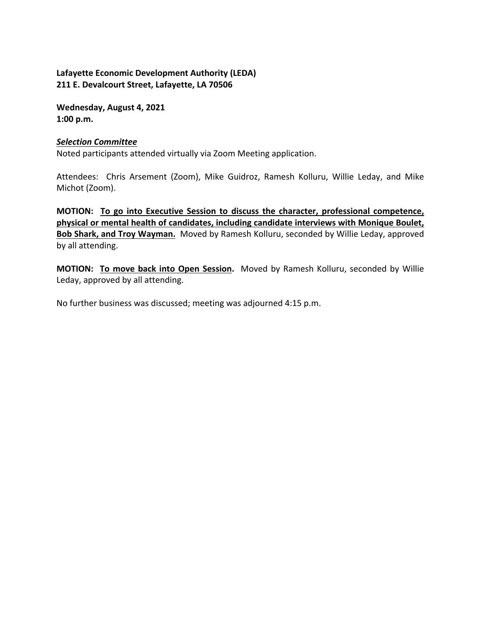**Wednesday, August 4, 2021 1:00 p.m.**

#### *Selection Committee*

Noted participants attended virtually via Zoom Meeting application.

Attendees: Chris Arsement (Zoom), Mike Guidroz, Ramesh Kolluru, Willie Leday, and Mike Michot (Zoom).

**MOTION: To go into Executive Session to discuss the character, professional competence, physical or mental health of candidates, including candidate interviews with Monique Boulet, Bob Shark, and Troy Wayman.** Moved by Ramesh Kolluru, seconded by Willie Leday, approved by all attending.

**MOTION: To move back into Open Session.** Moved by Ramesh Kolluru, seconded by Willie Leday, approved by all attending.

No further business was discussed; meeting was adjourned 4:15 p.m.